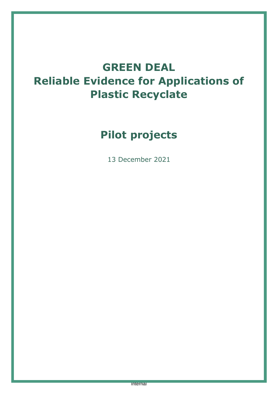# **GREEN DEAL Reliable Evidence for Applications of Plastic Recyclate**

# **Pilot projects**

13 December 2021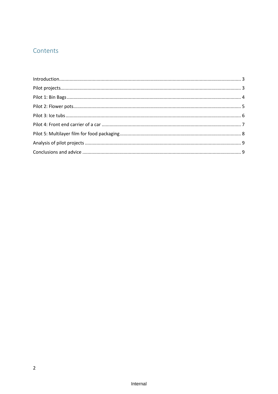# Contents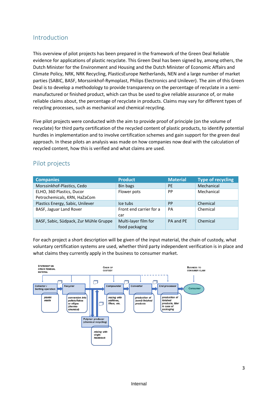## <span id="page-2-0"></span>Introduction

This overview of pilot projects has been prepared in the framework of the Green Deal Reliable evidence for applications of plastic recyclate. This Green Deal has been signed by, among others, the Dutch Minister for the Environment and Housing and the Dutch Minister of Economic Affairs and Climate Policy, NRK, NRK Recycling, PlasticsEurope Netherlands, NEN and a large number of market parties (SABIC, BASF, Morssinkhof-Rymoplast, Philips Electronics and Unilever). The aim of this Green Deal is to develop a methodology to provide transparency on the percentage of recyclate in a semimanufactured or finished product, which can thus be used to give reliable assurance of, or make reliable claims about, the percentage of recyclate in products. Claims may vary for different types of recycling processes, such as mechanical and chemical recycling.

Five pilot projects were conducted with the aim to provide proof of principle (on the volume of recyclate) for third party certification of the recycled content of plastic products, to identify potential hurdles in implementation and to involve certification schemes and gain support for the green deal approach. In these pilots an analysis was made on how companies now deal with the calculation of recycled content, how this is verified and what claims are used.

## <span id="page-2-1"></span>Pilot projects

| <b>Companies</b>                                          | <b>Product</b>                         | <b>Material</b> | <b>Type of recycling</b> |
|-----------------------------------------------------------|----------------------------------------|-----------------|--------------------------|
| Morssinkhof-Plastics, Cedo                                | Bin bags                               | <b>PE</b>       | Mechanical               |
| ELHO, 360 Plastics, Ducor<br>Petrochemicals, KRN, HaZaCom | Flower pots                            | PP              | Mechanical               |
| Plastics Energy, Sabic, Unilever                          | Ice tubs                               | <b>PP</b>       | Chemical                 |
| BASF, Jaguar Land Rover                                   | Front end carrier for a<br>car         | PA              | Chemical                 |
| BASF, Sabic, Südpack, Zur Mühle Gruppe                    | Multi-layer film for<br>food packaging | PA and PE       | Chemical                 |

For each project a short description will be given of the input material, the chain of custody, what voluntary certification systems are used, whether third party independent verification is in place and what claims they currently apply in the business to consumer market.

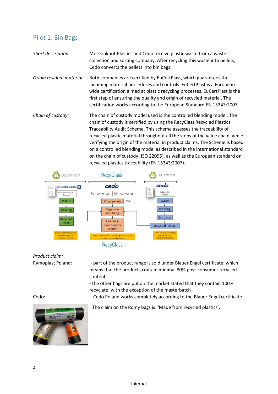#### <span id="page-3-0"></span>Pilot 1: Bin Bags

*Short description:* Morssinkhof-Plastics and Cedo receive plastic waste from a waste collection and sorting company. After recycling this waste into pellets, Cedo converts the pellets into bin bags.

*Origin residual material:* Both companies are certified by EuCertPlast, which guarantees the incoming material procedures and controls. EuCertPlast is a European wide certification aimed at plastic recycling processes. EuCertPlast is the first step of ensuring the quality and origin of recycled material. The certification works according to the European Standard EN 15343:2007.

*Chain of custody:* The chain of custody model used is the controlled blending model. The chain of custody is certified by using the RecyClass Recycled Plastics Traceability Audit Scheme. This scheme assesses the traceability of recycled plastic material throughout all the steps of the value chain, while verifying the origin of the material in product claims. The Scheme is based on a controlled blending model as described in the international standard on the chain of custody (ISO 22095), as well as the European standard on recycled plastics traceability (EN 15343:2007).



*Product claim:*

Rymoplast Poland: - part of the product range is sold under Blauer Engel certificate, which means that the products contain minimal 80% post-consumer recycled content

> - the other bags are put on the market stated that they contain 100% recyclate, with the exception of the masterbatch

Cedo: - Cedo Poland works completely according to the Blauer Engel certificate



The claim on the Romy bags is: 'Made from recycled plastics'.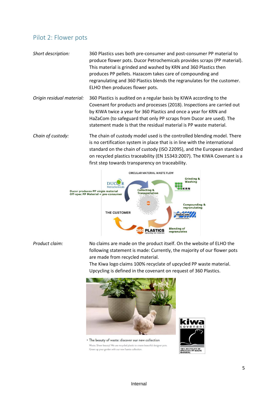#### <span id="page-4-0"></span>Pilot 2: Flower pots

- *Short description:* 360 Plastics uses both pre-consumer and post-consumer PP material to produce flower pots. Ducor Petrochemicals provides scraps (PP material). This material is grinded and washed by KRN and 360 Plastics then produces PP pellets. Hazacom takes care of compounding and regranulating and 360 Plastics blends the regranulates for the customer. ELHO then produces flower pots.
- *Origin residual material:* 360 Plastics is audited on a regular basis by KIWA according to the Covenant for products and processes (2018). Inspections are carried out by KIWA twice a year for 360 Plastics and once a year for KRN and HaZaCom (to safeguard that only PP scraps from Ducor are used). The statement made is that the residual material is PP waste material.
- *Chain of custody:* The chain of custody model used is the controlled blending model. There is no certification system in place that is in line with the international standard on the chain of custody (ISO 22095), and the European standard on recycled plastics traceability (EN 15343:2007). The KIWA Covenant is a first step towards transparency on traceability.



*Product claim:* No claims are made on the product itself. On the website of ELHO the following statement is made: Currently, the majority of our flower pots are made from recycled material.

> The Kiwa logo claims 100% recyclate of upcycled PP waste material. Upcycling is defined in the covenant on request of 360 Plastics.



\* The beauty of waste: discover our new collection Waste. Sheer beauty! We use recycled plastic to create beautiful designer pots. Green up your garden with our new fuente collection

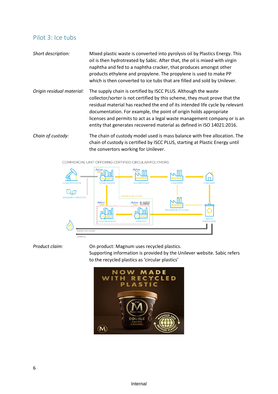### <span id="page-5-0"></span>Pilot 3: Ice tubs

| Short description: | Mixed plastic waste is converted into pyrolysis oil by Plastics Energy. This |
|--------------------|------------------------------------------------------------------------------|
|                    | oil is then hydrotreated by Sabic. After that, the oil is mixed with virgin  |
|                    | naphtha and fed to a naphtha cracker, that produces amongst other            |
|                    | products ethylene and propylene. The propylene is used to make PP            |
|                    | which is then converted to ice tubs that are filled and sold by Unilever.    |
|                    |                                                                              |

*Origin residual material:* The supply chain is certified by ISCC PLUS. Although the waste collector/sorter is not certified by this scheme, they must prove that the residual material has reached the end of its intended life cycle by relevant documentation. For example, the point of origin holds appropriate licenses and permits to act as a legal waste management company or is an entity that generates recovered material as defined in ISO 14021:2016.

*Chain of custody:* The chain of custody model used is mass balance with free allocation. The chain of custody is certified by ISCC PLUS, starting at Plastic Energy until the convertors working for Unilever.



*Product claim:* On product: Magnum uses recycled plastics.

Supporting information is provided by the Unilever website. Sabic refers to the recycled plastics as 'circular plastics'

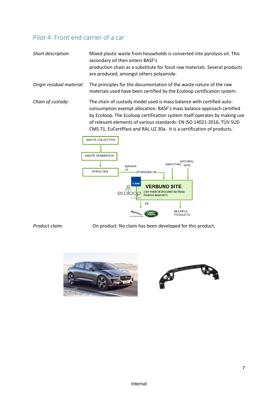# <span id="page-6-0"></span>Pilot 4: Front end carrier of a car

| Short description:        | Mixed plastic waste from households is converted into pyrolysis oil. This<br>secondary oil then enters BASF's<br>production chain as a substitute for fossil raw materials. Several products<br>are produced, amongst others polyamide.                                                                                                                                        |
|---------------------------|--------------------------------------------------------------------------------------------------------------------------------------------------------------------------------------------------------------------------------------------------------------------------------------------------------------------------------------------------------------------------------|
| Origin residual material: | The principles for the documentation of the waste nature of the raw<br>materials used have been certified by the Ecoloop certification system.                                                                                                                                                                                                                                 |
| Chain of custody:         | The chain of custody model used is mass balance with certified auto-<br>consumption exempt allocation. BASF's mass balance approach certified<br>by Ecoloop. The Ecoloop certification system itself operates by making use<br>of relevant elements of various standards: EN ISO 14021:2016, TÜV SÜD<br>CMS 71, EuCertPlast and RAL UZ 30a. It is a certification of products. |



*Product claim:* On product: No claim has been developed for this product.



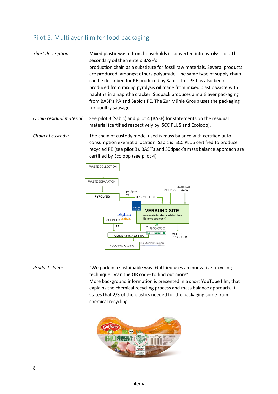# <span id="page-7-0"></span>Pilot 5: Multilayer film for food packaging

*Short description:* Mixed plastic waste from households is converted into pyrolysis oil. This secondary oil then enters BASF's production chain as a substitute for fossil raw materials. Several products are produced, amongst others polyamide. The same type of supply chain can be described for PE produced by Sabic. This PE has also been produced from mixing pyrolysis oil made from mixed plastic waste with naphtha in a naphtha cracker. Südpack produces a multilayer packaging from BASF's PA and Sabic's PE. The Zur Mühle Group uses the packaging for poultry sausage. *Origin residual material:* See pilot 3 (Sabic) and pilot 4 (BASF) for statements on the residual material (certified respectively by ISCC PLUS and Ecoloop). *Chain of custody:* The chain of custody model used is mass balance with certified auto-

consumption exempt allocation. Sabic is ISCC PLUS certified to produce recycled PE (see pilot 3). BASF's and Südpack's mass balance approach are certified by Ecoloop (see pilot 4).



*Product claim:* "We pack in a sustainable way. Gutfried uses an innovative recycling technique. Scan the QR code- to find out more". More background information is presented in a short YouTube film, that explains the chemical recycling process and mass balance approach. It states that 2/3 of the plastics needed for the packaging come from chemical recycling.



8